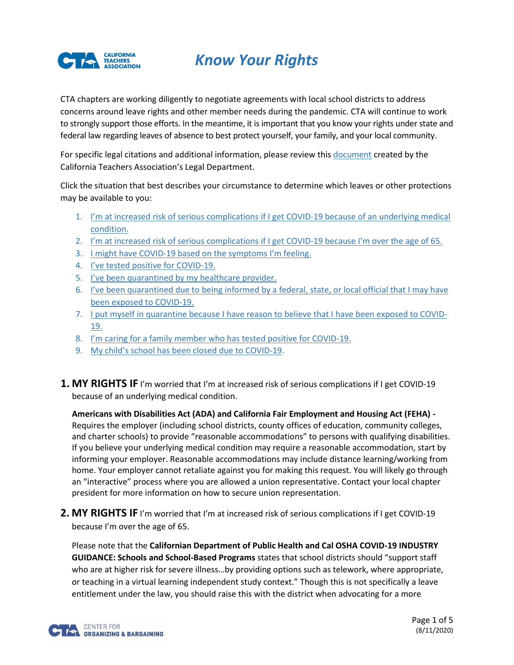

# *Know Your Rights*

CTA chapters are working diligently to negotiate agreements with local school districts to address concerns around leave rights and other member needs during the pandemic. CTA will continue to work to strongly support those efforts. In the meantime, it is important that you know your rights under state and federal law regarding leaves of absence to best protect yourself, your family, and your local community.

For specific legal citations and additional information, please review this [document](https://aarjb2jw4n53e35fhbquj418-wpengine.netdna-ssl.com/wp-content/uploads/2020/07/CTAs-COVID-19-Leaves-Accomodation-InfoSheet.final_.pdf) created by the California Teachers Association's Legal Department.

Click the situation that best describes your circumstance to determine which leaves or other protections may be available to you:

- 1. [I'm at increased risk of serious complications if I get](#page-0-0) COVID-19 because of an underlying medical [condition.](#page-0-0)
- 2. I'm at increased [risk of serious complications if I get COVID-](#page-0-1)19 because I'm over the age of 65.
- 3. I might have COVID-[19 based on the symptoms I'm feeling](#page-1-0).
- 4. [I've tested positive for](#page-1-1) COVID-19.
- 5. [I've been quarantined by my healthcare provider.](#page-2-0)
- 6. I've been quarantined due to being informed by a federal, state, or local official that I may have [been exposed to COVID-19.](#page-3-0)
- 7. [I put myself in quarantine because](#page-3-1) I have reason to believe that I have been exposed to COVID-[19.](#page-3-1)
- 8. I'm [caring for a family member who has tested positive for COVID-19.](#page-4-0)
- 9. [My child's school has been closed due to](#page-4-1) COVID-19.
- <span id="page-0-0"></span>**1. MY RIGHTS IF** I'm worried that I'm at increased risk of serious complications if I get COVID-19 because of an underlying medical condition.

**Americans with Disabilities Act (ADA) and California Fair Employment and Housing Act (FEHA) -** Requires the employer (including school districts, county offices of education, community colleges, and charter schools) to provide "reasonable accommodations" to persons with qualifying disabilities. If you believe your underlying medical condition may require a reasonable accommodation, start by informing your employer. Reasonable accommodations may include distance learning/working from home. Your employer cannot retaliate against you for making this request. You will likely go through an "interactive" process where you are allowed a union representative. Contact your local chapter president for more information on how to secure union representation.

<span id="page-0-1"></span>**2. MY RIGHTS IF** I'm worried that I'm at increased risk of serious complications if I get COVID-19 because I'm over the age of 65.

Please note that the **Californian Department of Public Health and Cal OSHA COVID-19 INDUSTRY GUIDANCE: Schools and School-Based Programs** states that school districts should "support staff who are at higher risk for severe illness…by providing options such as telework, where appropriate, or teaching in a virtual learning independent study context." Though this is not specifically a leave entitlement under the law, you should raise this with the district when advocating for a more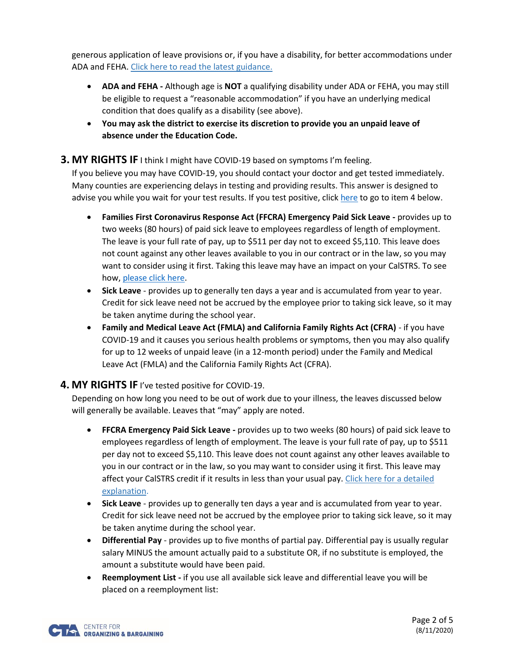generous application of leave provisions or, if you have a disability, for better accommodations under ADA and FEHA[. Click here to read the latest guidance.](https://files.covid19.ca.gov/pdf/guidance-schools.pdf)

- **ADA and FEHA -** Although age is **NOT** a qualifying disability under ADA or FEHA, you may still be eligible to request a "reasonable accommodation" if you have an underlying medical condition that does qualify as a disability (see above).
- **You may ask the district to exercise its discretion to provide you an unpaid leave of absence under the Education Code.**
- <span id="page-1-0"></span>**3. MY RIGHTS IF** I think I might have COVID-19 based on symptoms I'm feeling.

If you believe you may have COVID-19, you should contact your doctor and get tested immediately. Many counties are experiencing delays in testing and providing results. This answer is designed to advise you while you wait for your test results. If you test positive, clic[k here](#page-1-1) to go to item 4 below.

- **Families First Coronavirus Response Act (FFCRA) Emergency Paid Sick Leave -** provides up to two weeks (80 hours) of paid sick leave to employees regardless of length of employment. The leave is your full rate of pay, up to \$511 per day not to exceed \$5,110. This leave does not count against any other leaves available to you in our contract or in the law, so you may want to consider using it first. Taking this leave may have an impact on your CalSTRS. To see how, [please click here.](https://memberresources.cta.org/shared-items?sid=%7b392AAE7A-5C2B-4CD4-9ECC-83BCD2B25109%7d)
- **Sick Leave** provides up to generally ten days a year and is accumulated from year to year. Credit for sick leave need not be accrued by the employee prior to taking sick leave, so it may be taken anytime during the school year.
- **Family and Medical Leave Act (FMLA) and California Family Rights Act (CFRA)** if you have COVID-19 and it causes you serious health problems or symptoms, then you may also qualify for up to 12 weeks of unpaid leave (in a 12-month period) under the Family and Medical Leave Act (FMLA) and the California Family Rights Act (CFRA).

## <span id="page-1-1"></span>**4. MY RIGHTS IF** I've tested positive for COVID-19.

Depending on how long you need to be out of work due to your illness, the leaves discussed below will generally be available. Leaves that "may" apply are noted.

- **FFCRA Emergency Paid Sick Leave -** provides up to two weeks (80 hours) of paid sick leave to employees regardless of length of employment. The leave is your full rate of pay, up to \$511 per day not to exceed \$5,110. This leave does not count against any other leaves available to you in our contract or in the law, so you may want to consider using it first. This leave may affect your CalSTRS credit if it results in less than your usual pay[. Click here for a detailed](https://memberresources.cta.org/shared-items?sid=%7b392AAE7A-5C2B-4CD4-9ECC-83BCD2B25109%7d)  [explanation.](https://memberresources.cta.org/shared-items?sid=%7b392AAE7A-5C2B-4CD4-9ECC-83BCD2B25109%7d)
- **Sick Leave** provides up to generally ten days a year and is accumulated from year to year. Credit for sick leave need not be accrued by the employee prior to taking sick leave, so it may be taken anytime during the school year.
- **Differential Pay** provides up to five months of partial pay. Differential pay is usually regular salary MINUS the amount actually paid to a substitute OR, if no substitute is employed, the amount a substitute would have been paid.
- **Reemployment List -** if you use all available sick leave and differential leave you will be placed on a reemployment list:

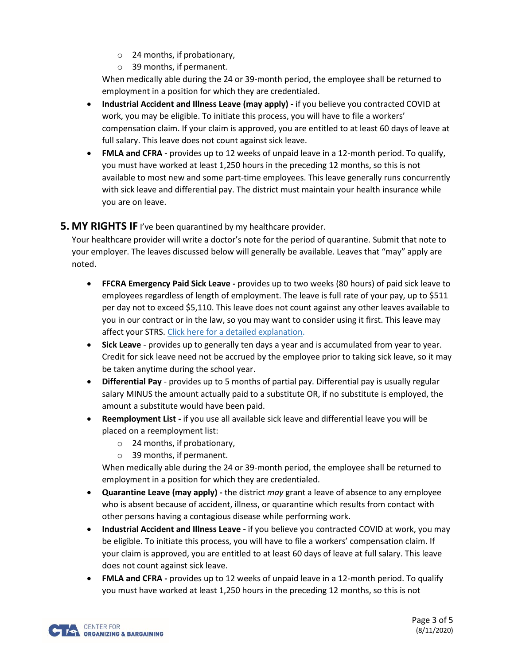- o 24 months, if probationary,
- o 39 months, if permanent.

When medically able during the 24 or 39-month period, the employee shall be returned to employment in a position for which they are credentialed.

- **Industrial Accident and Illness Leave (may apply) -** if you believe you contracted COVID at work, you may be eligible. To initiate this process, you will have to file a workers' compensation claim. If your claim is approved, you are entitled to at least 60 days of leave at full salary. This leave does not count against sick leave.
- **FMLA and CFRA -** provides up to 12 weeks of unpaid leave in a 12-month period. To qualify, you must have worked at least 1,250 hours in the preceding 12 months, so this is not available to most new and some part-time employees. This leave generally runs concurrently with sick leave and differential pay. The district must maintain your health insurance while you are on leave.

#### <span id="page-2-0"></span>**5. MY RIGHTS IF** I've been quarantined by my healthcare provider.

Your healthcare provider will write a doctor's note for the period of quarantine. Submit that note to your employer. The leaves discussed below will generally be available. Leaves that "may" apply are noted.

- **FFCRA Emergency Paid Sick Leave -** provides up to two weeks (80 hours) of paid sick leave to employees regardless of length of employment. The leave is full rate of your pay, up to \$511 per day not to exceed \$5,110. This leave does not count against any other leaves available to you in our contract or in the law, so you may want to consider using it first. This leave may affect your STRS[. Click here for a detailed explanation.](https://memberresources.cta.org/shared-items?sid=%7b392AAE7A-5C2B-4CD4-9ECC-83BCD2B25109%7d)
- **Sick Leave** provides up to generally ten days a year and is accumulated from year to year. Credit for sick leave need not be accrued by the employee prior to taking sick leave, so it may be taken anytime during the school year.
- **Differential Pay** provides up to 5 months of partial pay. Differential pay is usually regular salary MINUS the amount actually paid to a substitute OR, if no substitute is employed, the amount a substitute would have been paid.
- **Reemployment List -** if you use all available sick leave and differential leave you will be placed on a reemployment list:
	- o 24 months, if probationary,
	- o 39 months, if permanent.

When medically able during the 24 or 39-month period, the employee shall be returned to employment in a position for which they are credentialed.

- **Quarantine Leave (may apply) -** the district *may* grant a leave of absence to any employee who is absent because of accident, illness, or quarantine which results from contact with other persons having a contagious disease while performing work.
- **Industrial Accident and Illness Leave -** if you believe you contracted COVID at work, you may be eligible. To initiate this process, you will have to file a workers' compensation claim. If your claim is approved, you are entitled to at least 60 days of leave at full salary. This leave does not count against sick leave.
- **FMLA and CFRA -** provides up to 12 weeks of unpaid leave in a 12-month period. To qualify you must have worked at least 1,250 hours in the preceding 12 months, so this is not

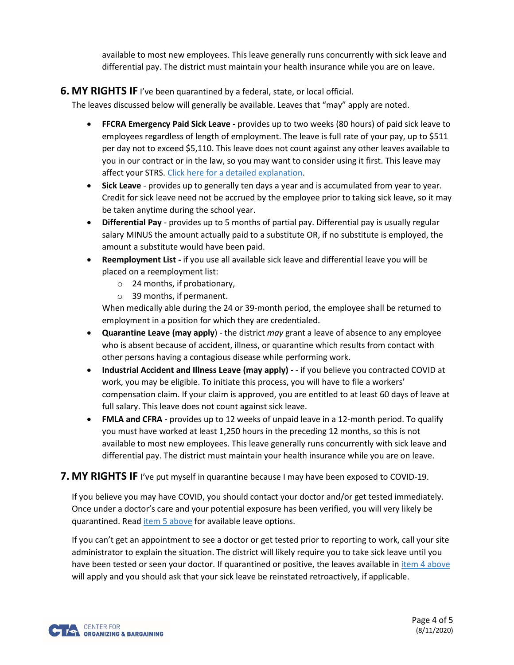<span id="page-3-1"></span>available to most new employees. This leave generally runs concurrently with sick leave and differential pay. The district must maintain your health insurance while you are on leave.

### <span id="page-3-0"></span>**6. MY RIGHTS IF** I've been quarantined by a federal, state, or local official.

The leaves discussed below will generally be available. Leaves that "may" apply are noted.

- **FFCRA Emergency Paid Sick Leave -** provides up to two weeks (80 hours) of paid sick leave to employees regardless of length of employment. The leave is full rate of your pay, up to \$511 per day not to exceed \$5,110. This leave does not count against any other leaves available to you in our contract or in the law, so you may want to consider using it first. This leave may affect your STRS[. Click here for a detailed explanation.](https://memberresources.cta.org/shared-items?sid=%7b392AAE7A-5C2B-4CD4-9ECC-83BCD2B25109%7d)
- **Sick Leave** provides up to generally ten days a year and is accumulated from year to year. Credit for sick leave need not be accrued by the employee prior to taking sick leave, so it may be taken anytime during the school year.
- **Differential Pay** provides up to 5 months of partial pay. Differential pay is usually regular salary MINUS the amount actually paid to a substitute OR, if no substitute is employed, the amount a substitute would have been paid.
- **Reemployment List -** if you use all available sick leave and differential leave you will be placed on a reemployment list:
	- o 24 months, if probationary,
	- o 39 months, if permanent.

When medically able during the 24 or 39-month period, the employee shall be returned to employment in a position for which they are credentialed.

- **Quarantine Leave (may apply**) the district *may* grant a leave of absence to any employee who is absent because of accident, illness, or quarantine which results from contact with other persons having a contagious disease while performing work.
- **Industrial Accident and Illness Leave (may apply) -** if you believe you contracted COVID at work, you may be eligible. To initiate this process, you will have to file a workers' compensation claim. If your claim is approved, you are entitled to at least 60 days of leave at full salary. This leave does not count against sick leave.
- **FMLA and CFRA -** provides up to 12 weeks of unpaid leave in a 12-month period. To qualify you must have worked at least 1,250 hours in the preceding 12 months, so this is not available to most new employees. This leave generally runs concurrently with sick leave and differential pay. The district must maintain your health insurance while you are on leave.

#### **7. MY RIGHTS IF** I've put myself in quarantine because I may have been exposed to COVID-19.

If you believe you may have COVID, you should contact your doctor and/or get tested immediately. Once under a doctor's care and your potential exposure has been verified, you will very likely be quarantined. Rea[d item 5](#page-2-0) above for available leave options.

If you can't get an appointment to see a doctor or get tested prior to reporting to work, call your site administrator to explain the situation. The district will likely require you to take sick leave until you have been tested or seen your doctor. If quarantined or positive, the leaves available in [item 4](#page-1-1) above will apply and you should ask that your sick leave be reinstated retroactively, if applicable.